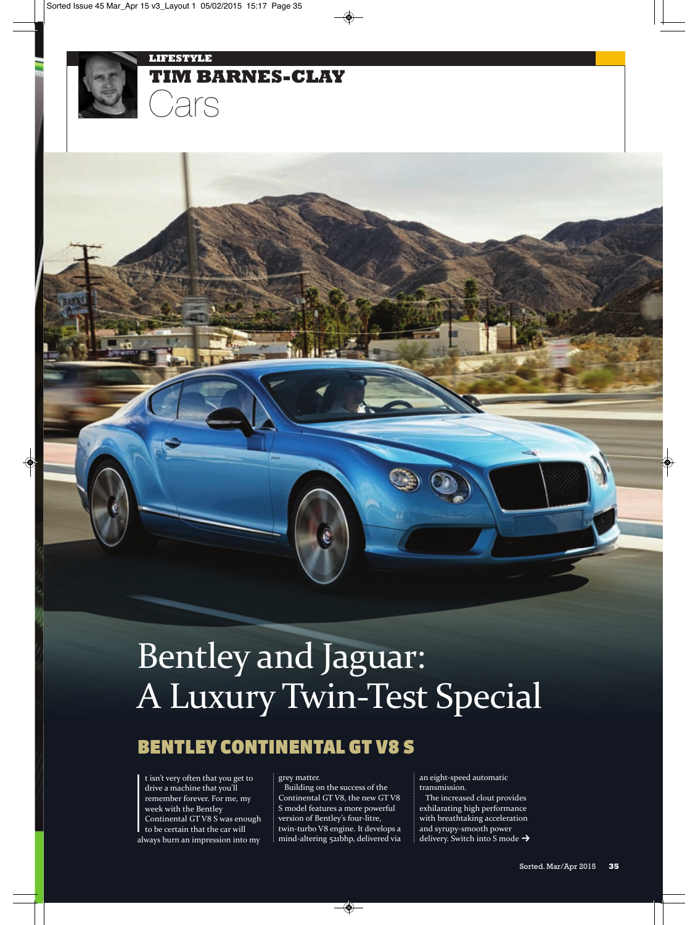

# Bentley and Jaguar: A Luxury Twin‐Test Special

# BENTLEY CONTINENTAL GT V8 S

**I**<br>I<br>al t isn't very often that you get to drive a machine that you'll remember forever. For me, my week with the Bentley Continental GT V8 S was enough to be certain that the car will always burn an impression into my

#### grey matter.

Building on the success of the Continental GT V8, the new GT V8 S model features a more powerful version of Bentley's four‐litre, twin‐turbo V8 engine. It develops a mind‐altering 521bhp, delivered via

an eight‐speed automatic transmission.

The increased clout provides exhilarating high performance with breathtaking acceleration and syrupy‐smooth power delivery. Switch into S mode →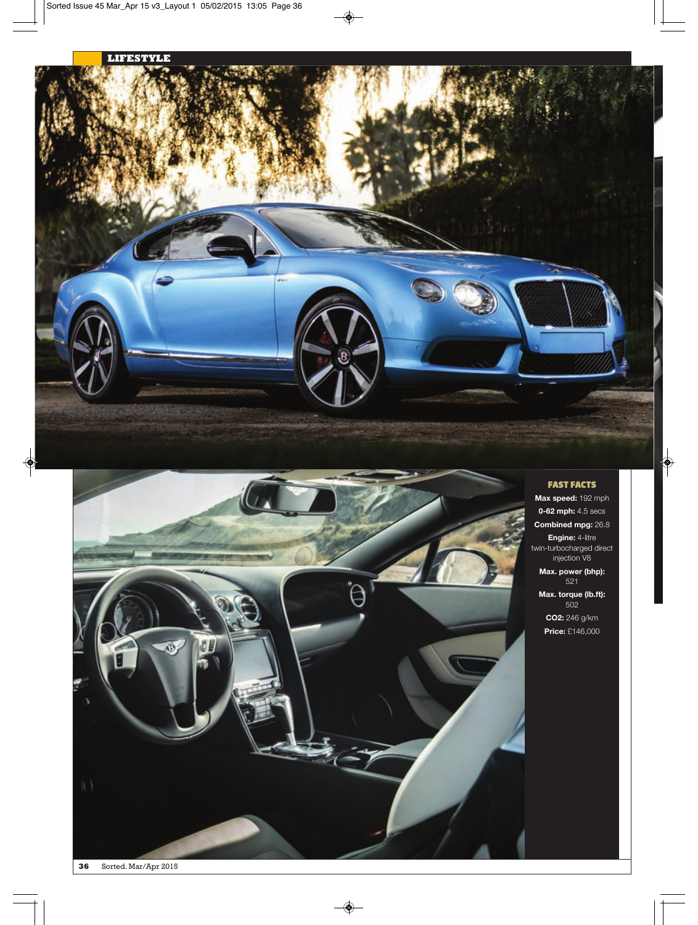



## FAST FACTS

**Max speed:** 192 mph **0-62 mph:** 4.5 secs **Combined mpg:** 26.8 **Engine:** 4-litre twin-turbocharged direct injection V8 **Max. power (bhp):** 521 **Max. torque (lb.ft):** 502

**CO2:** 246 g/km **Price:** £146,000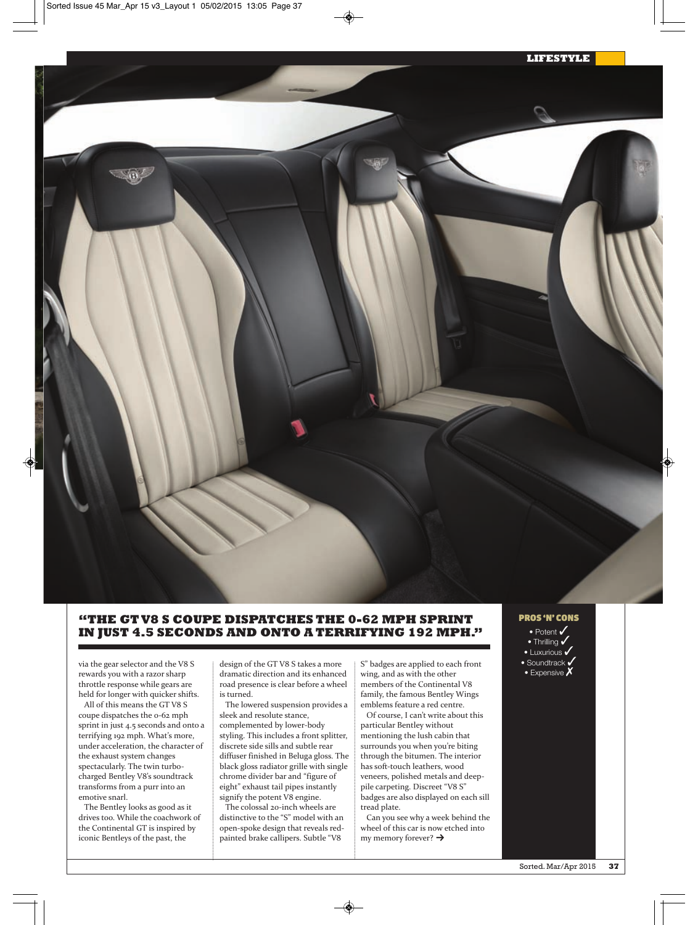# **"THE GT V8 S COUPE DISPATCHES THE 0-62 MPH SPRINT IN JUST 4.5 SECONDS AND ONTO A TERRIFYING 192 MPH."**

via the gear selector and the V8 S rewards you with a razor sharp throttle response while gears are held for longer with quicker shifts.

All of this means the GT V8 S coupe dispatches the 0‐62 mph sprint in just 4.5 seconds and onto a terrifying 192 mph. What's more, under acceleration, the character of the exhaust system changes spectacularly. The twin turbocharged Bentley V8's soundtrack transforms from a purr into an emotive snarl.

The Bentley looks as good as it drives too. While the coachwork of the Continental GT is inspired by iconic Bentleys of the past, the

design of the GT V8 S takes a more dramatic direction and its enhanced road presence is clear before a wheel is turned.

The lowered suspension provides a sleek and resolute stance, complemented by lower‐body styling. This includes a front splitter, discrete side sills and subtle rear diffuser finished in Beluga gloss. The black gloss radiator grille with single chrome divider bar and "figure of eight" exhaust tail pipes instantly signify the potent V8 engine.

The colossal 20-inch wheels are distinctive to the "S" model with an open‐spoke design that reveals red‐ painted brake callipers. Subtle "V8

S" badges are applied to each front wing, and as with the other members of the Continental V8 family, the famous Bentley Wings emblems feature a red centre.

Of course, I can't write about this particular Bentley without mentioning the lush cabin that surrounds you when you're biting through the bitumen. The interior has soft‐touch leathers, wood veneers, polished metals and deep‐ pile carpeting. Discreet "V8 S" badges are also displayed on each sill tread plate.

Can you see why a week behind the wheel of this car is now etched into my memory forever?  $\rightarrow$ 



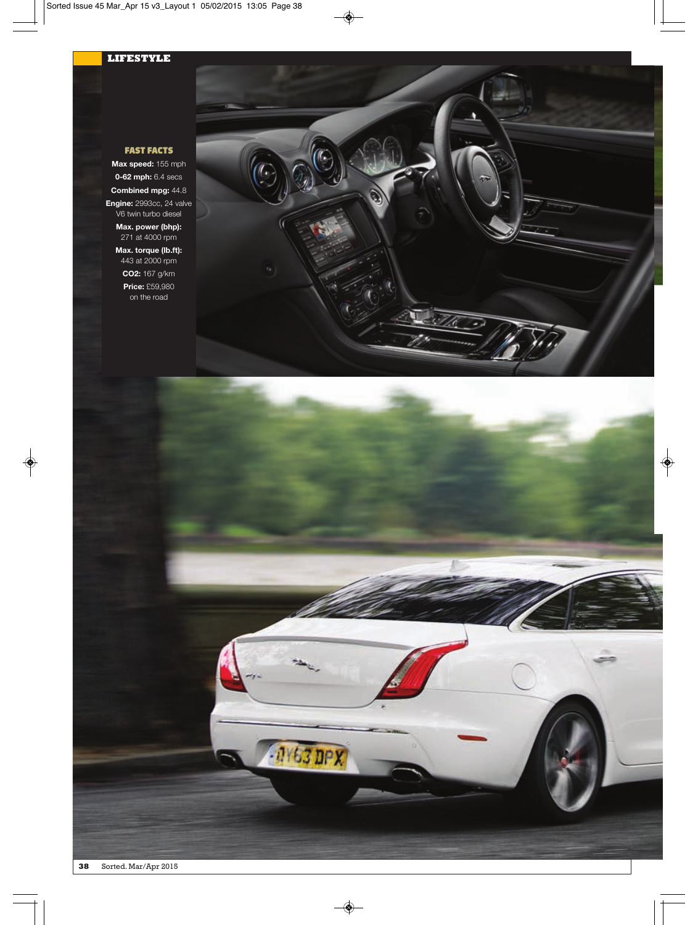## **LIFESTYLE**

## FAST FACTS

**Max speed:** 155 mph **0-62 mph:** 6.4 secs **Combined mpg:** 44.8 **Engine:** 2993cc, 24 valve

V6 twin turbo diesel **Max. power (bhp):** 271 at 4000 rpm **Max. torque (lb.ft):**

443 at 2000 rpm **CO2:** 167 g/km

**Price:** £59,980 on the road